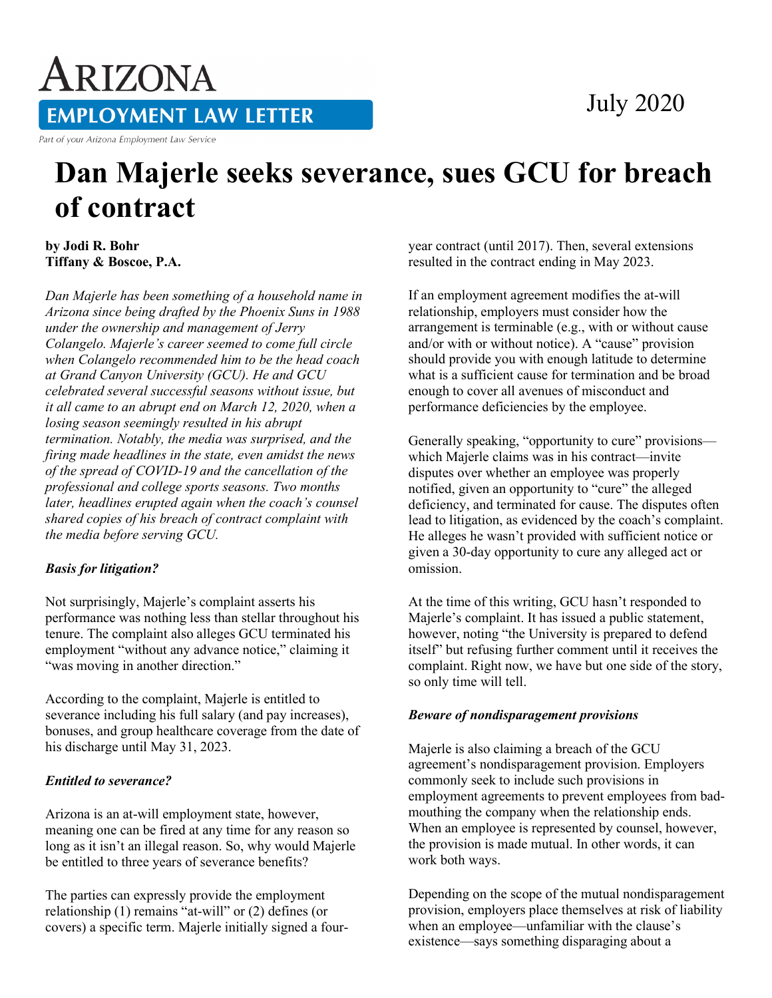# ARIZONA **EMPLOYMENT LAW LETTER**

#### Part of your Arizona Employment Law Service

## **Dan Majerle seeks severance, sues GCU for breach of contract**

**by Jodi R. Bohr Tiffany & Boscoe, P.A.**

*Dan Majerle has been something of a household name in Arizona since being drafted by the Phoenix Suns in 1988 under the ownership and management of Jerry Colangelo. Majerle's career seemed to come full circle when Colangelo recommended him to be the head coach at Grand Canyon University (GCU). He and GCU celebrated several successful seasons without issue, but it all came to an abrupt end on March 12, 2020, when a losing season seemingly resulted in his abrupt termination. Notably, the media was surprised, and the firing made headlines in the state, even amidst the news of the spread of COVID-19 and the cancellation of the professional and college sports seasons. Two months later, headlines erupted again when the coach's counsel shared copies of his breach of contract complaint with the media before serving GCU.*

#### *Basis for litigation?*

Not surprisingly, Majerle's complaint asserts his performance was nothing less than stellar throughout his tenure. The complaint also alleges GCU terminated his employment "without any advance notice," claiming it "was moving in another direction."

According to the complaint, Majerle is entitled to severance including his full salary (and pay increases), bonuses, and group healthcare coverage from the date of his discharge until May 31, 2023.

#### *Entitled to severance?*

Arizona is an at-will employment state, however, meaning one can be fired at any time for any reason so long as it isn't an illegal reason. So, why would Majerle be entitled to three years of severance benefits?

The parties can expressly provide the employment relationship (1) remains "at-will" or (2) defines (or covers) a specific term. Majerle initially signed a fouryear contract (until 2017). Then, several extensions resulted in the contract ending in May 2023.

If an employment agreement modifies the at-will relationship, employers must consider how the arrangement is terminable (e.g., with or without cause and/or with or without notice). A "cause" provision should provide you with enough latitude to determine what is a sufficient cause for termination and be broad enough to cover all avenues of misconduct and performance deficiencies by the employee.

Generally speaking, "opportunity to cure" provisions which Majerle claims was in his contract—invite disputes over whether an employee was properly notified, given an opportunity to "cure" the alleged deficiency, and terminated for cause. The disputes often lead to litigation, as evidenced by the coach's complaint. He alleges he wasn't provided with sufficient notice or given a 30-day opportunity to cure any alleged act or omission.

At the time of this writing, GCU hasn't responded to Majerle's complaint. It has issued a public statement, however, noting "the University is prepared to defend itself" but refusing further comment until it receives the complaint. Right now, we have but one side of the story, so only time will tell.

#### *Beware of nondisparagement provisions*

Majerle is also claiming a breach of the GCU agreement's nondisparagement provision. Employers commonly seek to include such provisions in employment agreements to prevent employees from badmouthing the company when the relationship ends. When an employee is represented by counsel, however, the provision is made mutual. In other words, it can work both ways.

Depending on the scope of the mutual nondisparagement provision, employers place themselves at risk of liability when an employee—unfamiliar with the clause's existence—says something disparaging about a

### July 2020